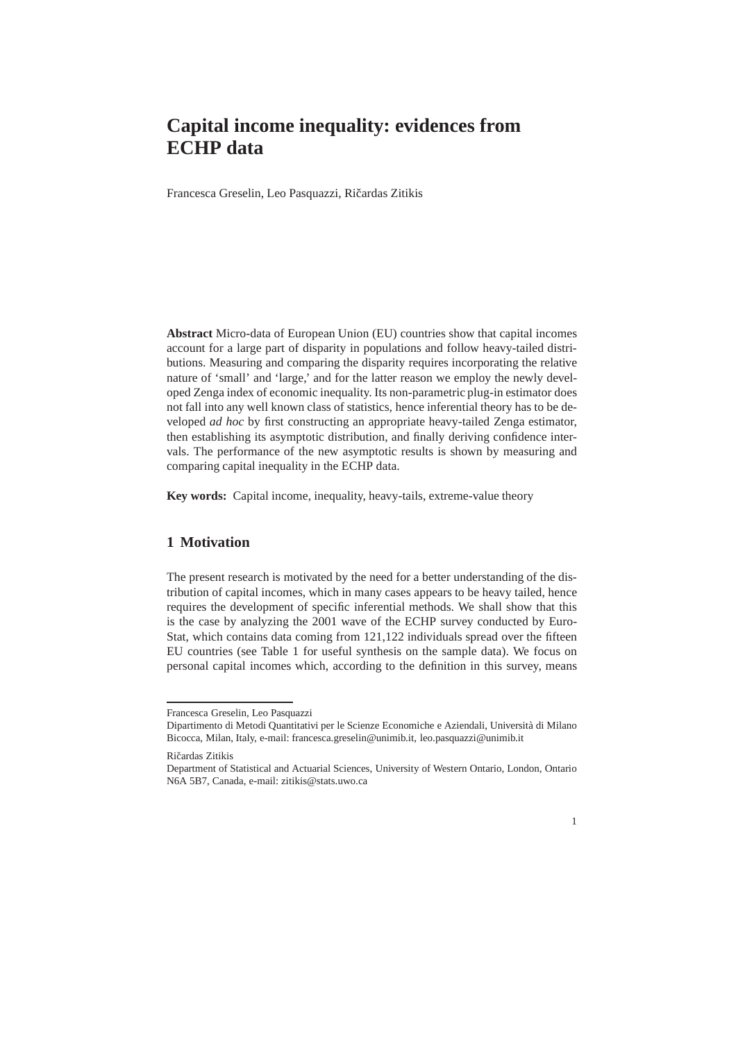# **Capital income inequality: evidences from ECHP data**

Francesca Greselin, Leo Pasquazzi, Ričardas Zitikis

**Abstract** Micro-data of European Union (EU) countries show that capital incomes account for a large part of disparity in populations and follow heavy-tailed distributions. Measuring and comparing the disparity requires incorporating the relative nature of 'small' and 'large,' and for the latter reason we employ the newly developed Zenga index of economic inequality. Its non-parametric plug-in estimator does not fall into any well known class of statistics, hence inferential theory has to be developed *ad hoc* by first constructing an appropriate heavy-tailed Zenga estimator, then establishing its asymptotic distribution, and finally deriving confidence intervals. The performance of the new asymptotic results is shown by measuring and comparing capital inequality in the ECHP data.

**Key words:** Capital income, inequality, heavy-tails, extreme-value theory

## **1 Motivation**

The present research is motivated by the need for a better understanding of the distribution of capital incomes, which in many cases appears to be heavy tailed, hence requires the development of specific inferential methods. We shall show that this is the case by analyzing the 2001 wave of the ECHP survey conducted by Euro-Stat, which contains data coming from 121,122 individuals spread over the fifteen EU countries (see Table 1 for useful synthesis on the sample data). We focus on personal capital incomes which, according to the definition in this survey, means

Department of Statistical and Actuarial Sciences, University of Western Ontario, London, Ontario N6A 5B7, Canada, e-mail: zitikis@stats.uwo.ca



Francesca Greselin, Leo Pasquazzi

Dipartimento di Metodi Quantitativi per le Scienze Economiche e Aziendali, Università di Milano Bicocca, Milan, Italy, e-mail: francesca.greselin@unimib.it, leo.pasquazzi@unimib.it

Ričardas Zitikis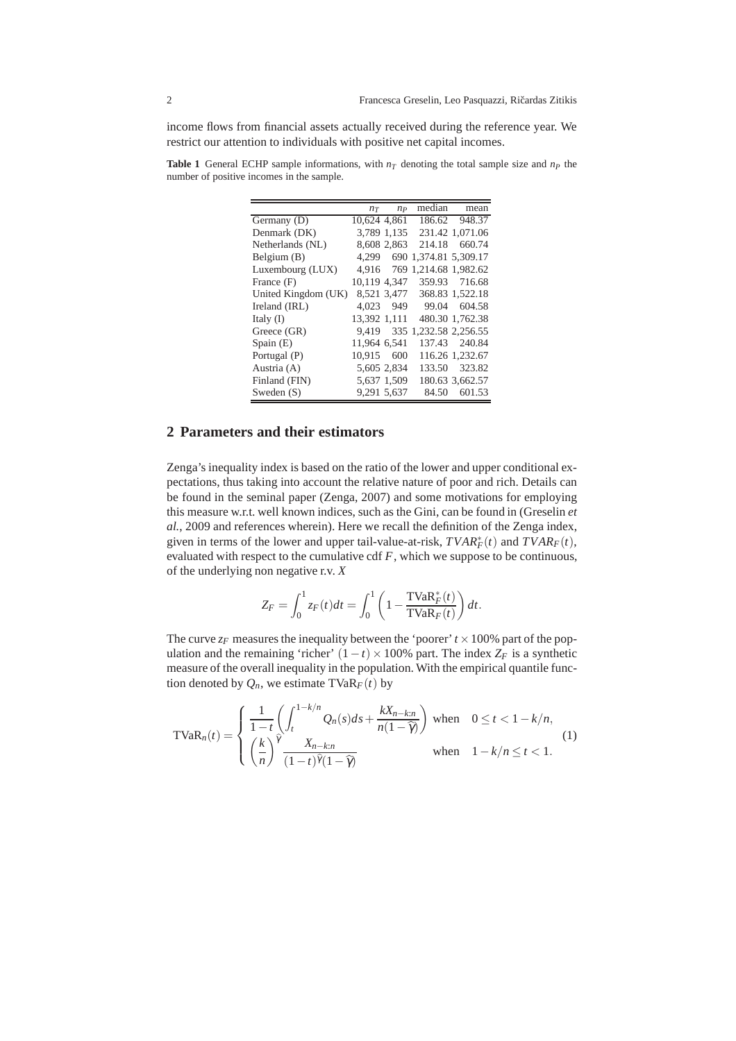income flows from financial assets actually received during the reference year. We restrict our attention to individuals with positive net capital incomes.

**Table 1** General ECHP sample informations, with  $n<sub>T</sub>$  denoting the total sample size and  $n<sub>P</sub>$  the number of positive incomes in the sample.

|                     |              | $n_T$ $n_P$ | median                      | mean            |
|---------------------|--------------|-------------|-----------------------------|-----------------|
| Germany (D)         | 10.624 4.861 |             |                             | 186.62 948.37   |
| Denmark (DK)        |              | 3,789 1,135 |                             | 231.42 1,071.06 |
| Netherlands (NL)    |              | 8.608 2.863 |                             | 214.18 660.74   |
| Belgium $(B)$       | 4.299        |             | 690 1,374.81 5,309.17       |                 |
| Luxembourg (LUX)    |              |             | 4.916 769 1.214.68 1.982.62 |                 |
| France (F)          | 10,119 4,347 |             |                             | 359.93 716.68   |
| United Kingdom (UK) |              | 8,521 3,477 |                             | 368.83 1,522.18 |
| Ireland (IRL)       |              | 4.023 949   |                             | 99.04 604.58    |
| Italy $(I)$         | 13,392 1,111 |             |                             | 480.30 1,762.38 |
| Greece (GR)         |              |             | 9,419 335 1,232.58 2,256.55 |                 |
| Spain (E)           | 11,964 6,541 |             |                             | 137.43 240.84   |
| Portugal (P)        | 10,915       | 600         |                             | 116.26 1,232.67 |
| Austria (A)         | 5.605 2.834  |             | 133.50                      | 323.82          |
| Finland (FIN)       |              | 5,637 1,509 |                             | 180.63 3,662.57 |
| Sweden $(S)$        | 9,291 5,637  |             | 84.50                       | 601.53          |

# **2 Parameters and their estimators**

Zenga's inequality index is based on the ratio of the lower and upper conditional expectations, thus taking into account the relative nature of poor and rich. Details can be found in the seminal paper (Zenga, 2007) and some motivations for employing this measure w.r.t. well known indices, such as the Gini, can be found in (Greselin *et al.*, 2009 and references wherein). Here we recall the definition of the Zenga index, given in terms of the lower and upper tail-value-at-risk,  $TVAR_F^*(t)$  and  $TVAR_F(t)$ , evaluated with respect to the cumulative cdf *F*, which we suppose to be continuous, of the underlying non negative r.v. *X*

$$
Z_F = \int_0^1 z_F(t)dt = \int_0^1 \left(1 - \frac{\text{TVaR}_F^*(t)}{\text{TVaR}_F(t)}\right)dt.
$$

The curve  $z_F$  measures the inequality between the 'poorer'  $t \times 100\%$  part of the population and the remaining 'richer'  $(1-t) \times 100\%$  part. The index  $Z_F$  is a synthetic measure of the overall inequality in the population. With the empirical quantile function denoted by  $Q_n$ , we estimate TVaR<sub>*F*</sub>(*t*) by

$$
\text{TVaR}_n(t) = \begin{cases} \frac{1}{1-t} \left( \int_t^{1-k/n} Q_n(s) ds + \frac{kX_{n-k:n}}{n(1-\widehat{\gamma})} \right) \text{ when } & 0 \le t < 1 - k/n, \\ \left( \frac{k}{n} \right)^{\widehat{\gamma}} \frac{X_{n-k:n}}{(1-t)^{\widehat{\gamma}}(1-\widehat{\gamma})} \text{ when } & 1 - k/n \le t < 1. \end{cases} \tag{1}
$$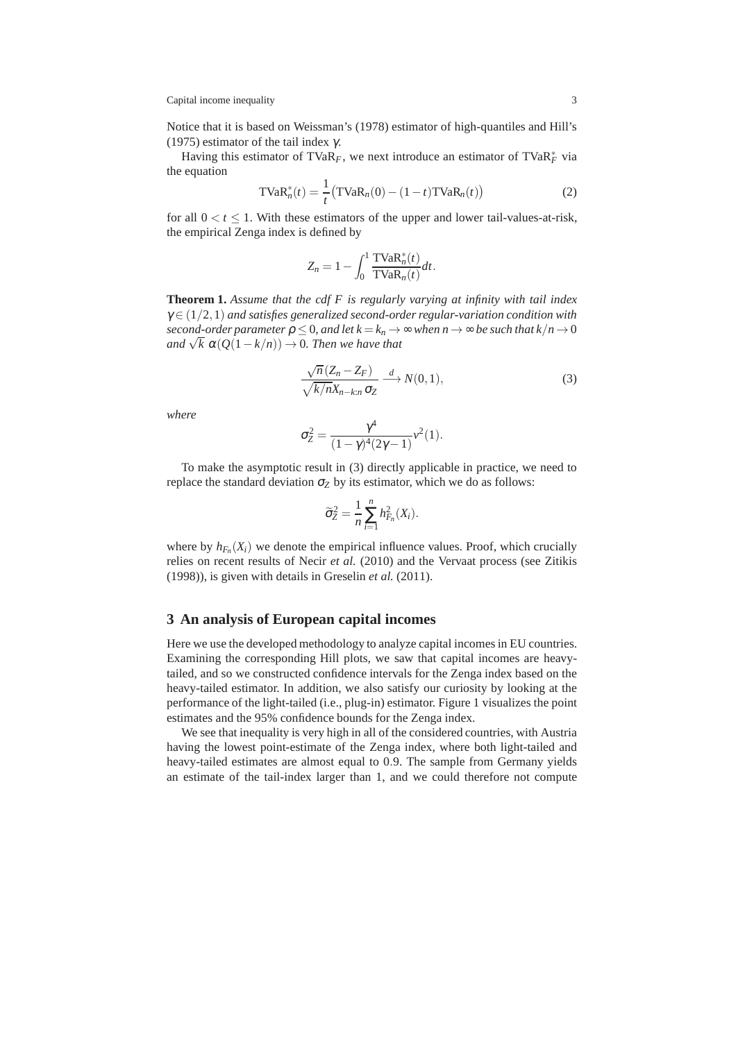Capital income inequality 3

Notice that it is based on Weissman's (1978) estimator of high-quantiles and Hill's (1975) estimator of the tail index  $\gamma$ .

Having this estimator of TVaR<sub>F</sub>, we next introduce an estimator of TVaR<sup>\*</sup><sub>F</sub> via the equation

$$
\text{TVaR}_n^*(t) = \frac{1}{t} \left( \text{TVaR}_n(0) - (1 - t) \text{TVaR}_n(t) \right)
$$
 (2)

for all  $0 < t \leq 1$ . With these estimators of the upper and lower tail-values-at-risk, the empirical Zenga index is defined by

$$
Z_n = 1 - \int_0^1 \frac{\text{TVaR}_n^*(t)}{\text{TVaR}_n(t)} dt.
$$

**Theorem 1.** *Assume that the cdf F is regularly varying at infinity with tail index* <sup>γ</sup> ∈ (1/2,1) *and satisfies generalized second-order regular-variation condition with second-order parameter*  $\rho \leq 0$ *, and let*  $k = k_n \rightarrow \infty$  *when*  $n \rightarrow \infty$  *be such that*  $k/n \rightarrow 0$  $\lim_{n \to \infty} \sqrt{k} \alpha(Q(1-k/n)) \to 0$ . Then we have that

$$
\frac{\sqrt{n}(Z_n - Z_F)}{\sqrt{k/n}X_{n-k:n}\sigma_Z} \xrightarrow{d} N(0,1),
$$
\n(3)

*where*

$$
\sigma_Z^2 = \frac{\gamma^4}{(1-\gamma)^4(2\gamma-1)}\nu^2(1).
$$

To make the asymptotic result in (3) directly applicable in practice, we need to replace the standard deviation  $\sigma_Z$  by its estimator, which we do as follows:

$$
\widetilde{\sigma}_Z^2 = \frac{1}{n} \sum_{i=1}^n h_{F_n}^2(X_i).
$$

where by  $h_{F_n}(X_i)$  we denote the empirical influence values. Proof, which crucially relies on recent results of Necir *et al.* (2010) and the Vervaat process (see Zitikis (1998)), is given with details in Greselin *et al.* (2011).

### **3 An analysis of European capital incomes**

Here we use the developed methodology to analyze capital incomes in EU countries. Examining the corresponding Hill plots, we saw that capital incomes are heavytailed, and so we constructed confidence intervals for the Zenga index based on the heavy-tailed estimator. In addition, we also satisfy our curiosity by looking at the performance of the light-tailed (i.e., plug-in) estimator. Figure 1 visualizes the point estimates and the 95% confidence bounds for the Zenga index.

We see that inequality is very high in all of the considered countries, with Austria having the lowest point-estimate of the Zenga index, where both light-tailed and heavy-tailed estimates are almost equal to 0.9. The sample from Germany yields an estimate of the tail-index larger than 1, and we could therefore not compute